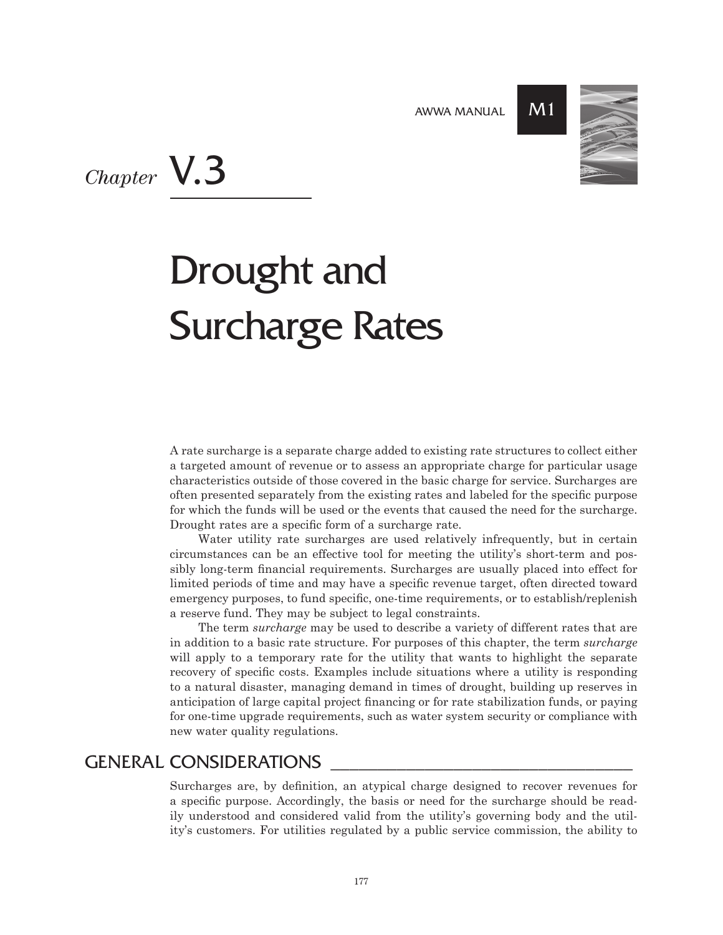AWWA Manual M1



*Chapter* V.3

# Drought and Surcharge Rates

A rate surcharge is a separate charge added to existing rate structures to collect either a targeted amount of revenue or to assess an appropriate charge for particular usage characteristics outside of those covered in the basic charge for service. Surcharges are often presented separately from the existing rates and labeled for the specific purpose for which the funds will be used or the events that caused the need for the surcharge. Drought rates are a specific form of a surcharge rate.

Water utility rate surcharges are used relatively infrequently, but in certain circumstances can be an effective tool for meeting the utility's short-term and possibly long-term financial requirements. Surcharges are usually placed into effect for limited periods of time and may have a specific revenue target, often directed toward emergency purposes, to fund specific, one-time requirements, or to establish/replenish a reserve fund. They may be subject to legal constraints.

The term *surcharge* may be used to describe a variety of different rates that are in addition to a basic rate structure. For purposes of this chapter, the term *surcharge*  will apply to a temporary rate for the utility that wants to highlight the separate recovery of specific costs. Examples include situations where a utility is responding to a natural disaster, managing demand in times of drought, building up reserves in anticipation of large capital project financing or for rate stabilization funds, or paying for one-time upgrade requirements, such as water system security or compliance with new water quality regulations.

## GENERAL CONSIDERATIONS

Surcharges are, by definition, an atypical charge designed to recover revenues for a specific purpose. Accordingly, the basis or need for the surcharge should be readily understood and considered valid from the utility's governing body and the utility's customers. For utilities regulated by a public service commission, the ability to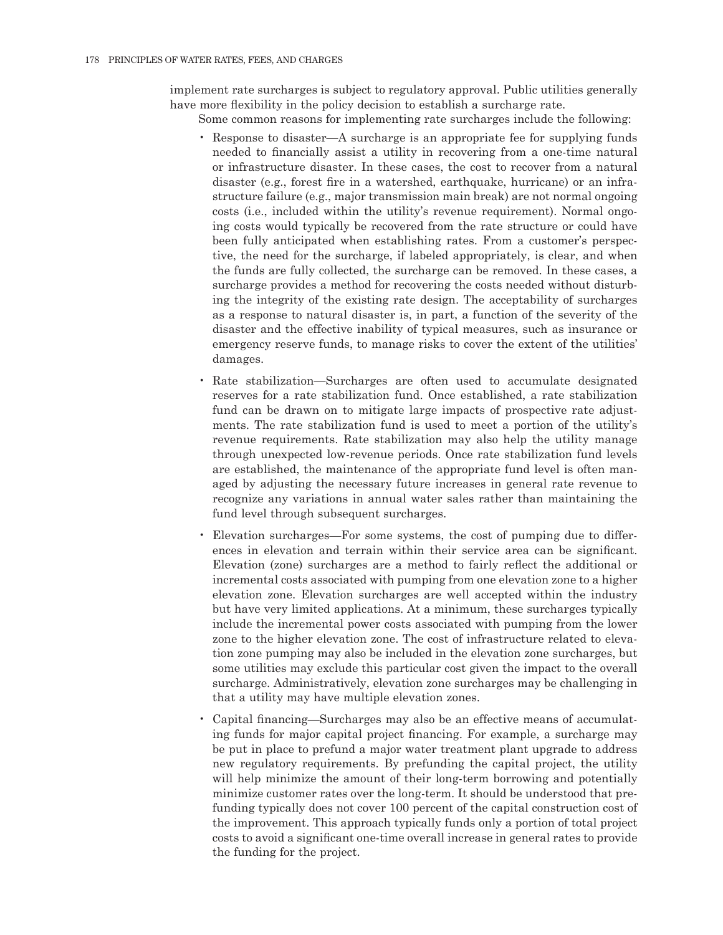implement rate surcharges is subject to regulatory approval. Public utilities generally have more flexibility in the policy decision to establish a surcharge rate.

Some common reasons for implementing rate surcharges include the following:

- Response to disaster—A surcharge is an appropriate fee for supplying funds needed to financially assist a utility in recovering from a one-time natural or infrastructure disaster. In these cases, the cost to recover from a natural disaster (e.g., forest fire in a watershed, earthquake, hurricane) or an infrastructure failure (e.g., major transmission main break) are not normal ongoing costs (i.e., included within the utility's revenue requirement). Normal ongoing costs would typically be recovered from the rate structure or could have been fully anticipated when establishing rates. From a customer's perspective, the need for the surcharge, if labeled appropriately, is clear, and when the funds are fully collected, the surcharge can be removed. In these cases, a surcharge provides a method for recovering the costs needed without disturbing the integrity of the existing rate design. The acceptability of surcharges as a response to natural disaster is, in part, a function of the severity of the disaster and the effective inability of typical measures, such as insurance or emergency reserve funds, to manage risks to cover the extent of the utilities' damages.
- Rate stabilization—Surcharges are often used to accumulate designated reserves for a rate stabilization fund. Once established, a rate stabilization fund can be drawn on to mitigate large impacts of prospective rate adjustments. The rate stabilization fund is used to meet a portion of the utility's revenue requirements. Rate stabilization may also help the utility manage through unexpected low-revenue periods. Once rate stabilization fund levels are established, the maintenance of the appropriate fund level is often managed by adjusting the necessary future increases in general rate revenue to recognize any variations in annual water sales rather than maintaining the fund level through subsequent surcharges.
- Elevation surcharges—For some systems, the cost of pumping due to differences in elevation and terrain within their service area can be significant. Elevation (zone) surcharges are a method to fairly reflect the additional or incremental costs associated with pumping from one elevation zone to a higher elevation zone. Elevation surcharges are well accepted within the industry but have very limited applications. At a minimum, these surcharges typically include the incremental power costs associated with pumping from the lower zone to the higher elevation zone. The cost of infrastructure related to elevation zone pumping may also be included in the elevation zone surcharges, but some utilities may exclude this particular cost given the impact to the overall surcharge. Administratively, elevation zone surcharges may be challenging in that a utility may have multiple elevation zones.
- Capital financing—Surcharges may also be an effective means of accumulating funds for major capital project financing. For example, a surcharge may be put in place to prefund a major water treatment plant upgrade to address new regulatory requirements. By prefunding the capital project, the utility will help minimize the amount of their long-term borrowing and potentially minimize customer rates over the long-term. It should be understood that prefunding typically does not cover 100 percent of the capital construction cost of the improvement. This approach typically funds only a portion of total project costs to avoid a significant one-time overall increase in general rates to provide the funding for the project.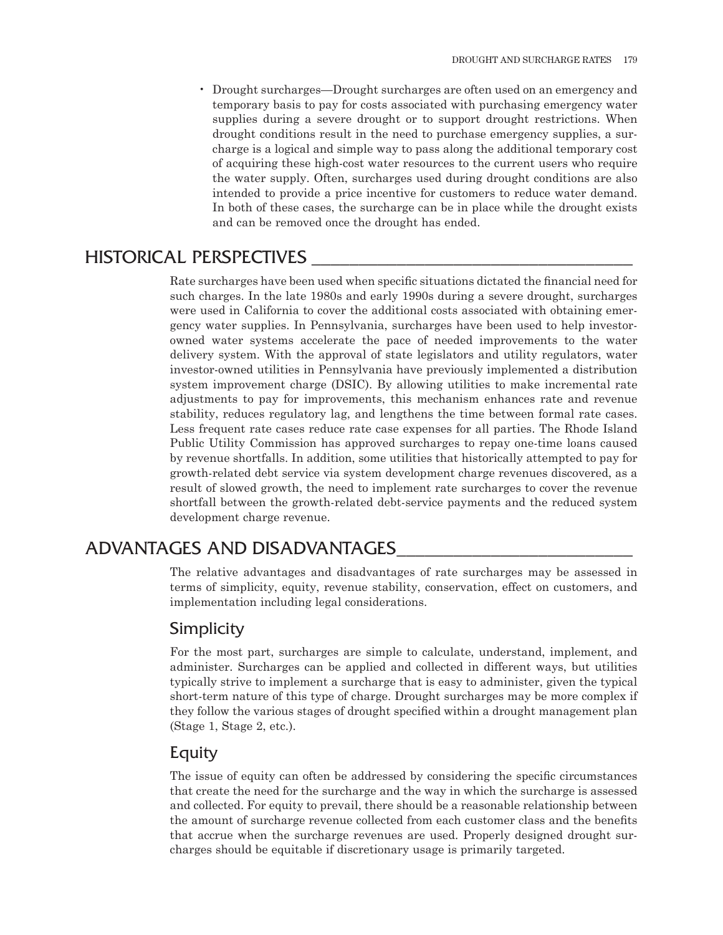• Drought surcharges—Drought surcharges are often used on an emergency and temporary basis to pay for costs associated with purchasing emergency water supplies during a severe drought or to support drought restrictions. When drought conditions result in the need to purchase emergency supplies, a surcharge is a logical and simple way to pass along the additional temporary cost of acquiring these high-cost water resources to the current users who require the water supply. Often, surcharges used during drought conditions are also intended to provide a price incentive for customers to reduce water demand. In both of these cases, the surcharge can be in place while the drought exists and can be removed once the drought has ended.

## HISTORICAL PERSPECTIVES

Rate surcharges have been used when specific situations dictated the financial need for such charges. In the late 1980s and early 1990s during a severe drought, surcharges were used in California to cover the additional costs associated with obtaining emergency water supplies. In Pennsylvania, surcharges have been used to help investorowned water systems accelerate the pace of needed improvements to the water delivery system. With the approval of state legislators and utility regulators, water investor-owned utilities in Pennsylvania have previously implemented a distribution system improvement charge (DSIC). By allowing utilities to make incremental rate adjustments to pay for improvements, this mechanism enhances rate and revenue stability, reduces regulatory lag, and lengthens the time between formal rate cases. Less frequent rate cases reduce rate case expenses for all parties. The Rhode Island Public Utility Commission has approved surcharges to repay one-time loans caused by revenue shortfalls. In addition, some utilities that historically attempted to pay for growth-related debt service via system development charge revenues discovered, as a result of slowed growth, the need to implement rate surcharges to cover the revenue shortfall between the growth-related debt-service payments and the reduced system development charge revenue.

## ADVANTAGES AND DISADVANTAGES\_\_\_\_\_\_\_\_\_\_\_\_\_\_\_\_\_\_\_\_\_\_\_\_\_

The relative advantages and disadvantages of rate surcharges may be assessed in terms of simplicity, equity, revenue stability, conservation, effect on customers, and implementation including legal considerations.

#### **Simplicity**

For the most part, surcharges are simple to calculate, understand, implement, and administer. Surcharges can be applied and collected in different ways, but utilities typically strive to implement a surcharge that is easy to administer, given the typical short-term nature of this type of charge. Drought surcharges may be more complex if they follow the various stages of drought specified within a drought management plan (Stage 1, Stage 2, etc.).

#### Equity

The issue of equity can often be addressed by considering the specific circumstances that create the need for the surcharge and the way in which the surcharge is assessed and collected. For equity to prevail, there should be a reasonable relationship between the amount of surcharge revenue collected from each customer class and the benefits that accrue when the surcharge revenues are used. Properly designed drought surcharges should be equitable if discretionary usage is primarily targeted.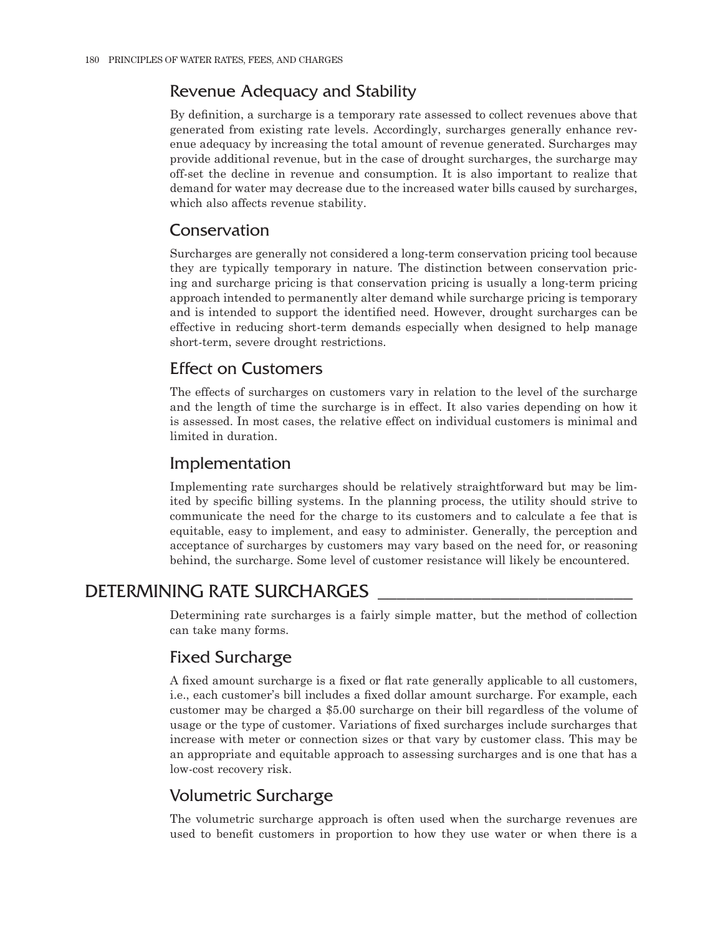# Revenue Adequacy and Stability

By definition, a surcharge is a temporary rate assessed to collect revenues above that generated from existing rate levels. Accordingly, surcharges generally enhance revenue adequacy by increasing the total amount of revenue generated. Surcharges may provide additional revenue, but in the case of drought surcharges, the surcharge may off-set the decline in revenue and consumption. It is also important to realize that demand for water may decrease due to the increased water bills caused by surcharges, which also affects revenue stability.

## Conservation

Surcharges are generally not considered a long-term conservation pricing tool because they are typically temporary in nature. The distinction between conservation pricing and surcharge pricing is that conservation pricing is usually a long-term pricing approach intended to permanently alter demand while surcharge pricing is temporary and is intended to support the identified need. However, drought surcharges can be effective in reducing short-term demands especially when designed to help manage short-term, severe drought restrictions.

# Effect on Customers

The effects of surcharges on customers vary in relation to the level of the surcharge and the length of time the surcharge is in effect. It also varies depending on how it is assessed. In most cases, the relative effect on individual customers is minimal and limited in duration.

# Implementation

Implementing rate surcharges should be relatively straightforward but may be limited by specific billing systems. In the planning process, the utility should strive to communicate the need for the charge to its customers and to calculate a fee that is equitable, easy to implement, and easy to administer. Generally, the perception and acceptance of surcharges by customers may vary based on the need for, or reasoning behind, the surcharge. Some level of customer resistance will likely be encountered.

# DETERMINING RATE SURCHARGES

Determining rate surcharges is a fairly simple matter, but the method of collection can take many forms.

# Fixed Surcharge

A fixed amount surcharge is a fixed or flat rate generally applicable to all customers, i.e., each customer's bill includes a fixed dollar amount surcharge. For example, each customer may be charged a \$5.00 surcharge on their bill regardless of the volume of usage or the type of customer. Variations of fixed surcharges include surcharges that increase with meter or connection sizes or that vary by customer class. This may be an appropriate and equitable approach to assessing surcharges and is one that has a low-cost recovery risk.

# Volumetric Surcharge

The volumetric surcharge approach is often used when the surcharge revenues are used to benefit customers in proportion to how they use water or when there is a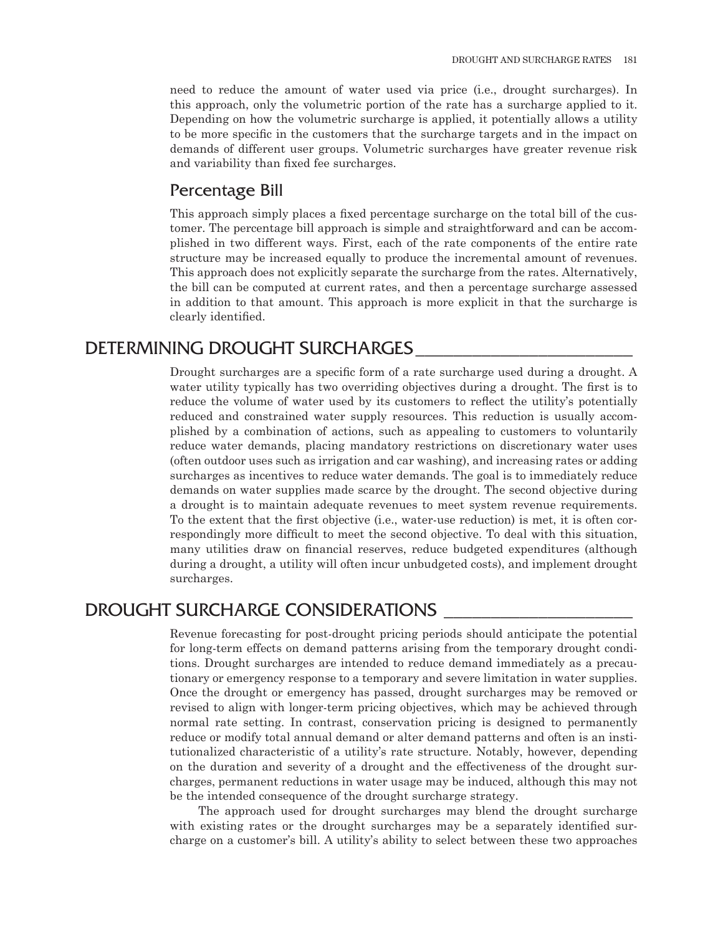need to reduce the amount of water used via price (i.e., drought surcharges). In this approach, only the volumetric portion of the rate has a surcharge applied to it. Depending on how the volumetric surcharge is applied, it potentially allows a utility to be more specific in the customers that the surcharge targets and in the impact on demands of different user groups. Volumetric surcharges have greater revenue risk and variability than fixed fee surcharges.

#### Percentage Bill

This approach simply places a fixed percentage surcharge on the total bill of the customer. The percentage bill approach is simple and straightforward and can be accomplished in two different ways. First, each of the rate components of the entire rate structure may be increased equally to produce the incremental amount of revenues. This approach does not explicitly separate the surcharge from the rates. Alternatively, the bill can be computed at current rates, and then a percentage surcharge assessed in addition to that amount. This approach is more explicit in that the surcharge is clearly identified.

# DETERMINING DROUGHT SURCHARGES

Drought surcharges are a specific form of a rate surcharge used during a drought. A water utility typically has two overriding objectives during a drought. The first is to reduce the volume of water used by its customers to reflect the utility's potentially reduced and constrained water supply resources. This reduction is usually accomplished by a combination of actions, such as appealing to customers to voluntarily reduce water demands, placing mandatory restrictions on discretionary water uses (often outdoor uses such as irrigation and car washing), and increasing rates or adding surcharges as incentives to reduce water demands. The goal is to immediately reduce demands on water supplies made scarce by the drought. The second objective during a drought is to maintain adequate revenues to meet system revenue requirements. To the extent that the first objective (i.e., water-use reduction) is met, it is often correspondingly more difficult to meet the second objective. To deal with this situation, many utilities draw on financial reserves, reduce budgeted expenditures (although during a drought, a utility will often incur unbudgeted costs), and implement drought surcharges.

## DROUGHT SURCHARGE CONSIDERATIONS

Revenue forecasting for post-drought pricing periods should anticipate the potential for long-term effects on demand patterns arising from the temporary drought conditions. Drought surcharges are intended to reduce demand immediately as a precautionary or emergency response to a temporary and severe limitation in water supplies. Once the drought or emergency has passed, drought surcharges may be removed or revised to align with longer-term pricing objectives, which may be achieved through normal rate setting. In contrast, conservation pricing is designed to permanently reduce or modify total annual demand or alter demand patterns and often is an institutionalized characteristic of a utility's rate structure. Notably, however, depending on the duration and severity of a drought and the effectiveness of the drought surcharges, permanent reductions in water usage may be induced, although this may not be the intended consequence of the drought surcharge strategy.

The approach used for drought surcharges may blend the drought surcharge with existing rates or the drought surcharges may be a separately identified surcharge on a customer's bill. A utility's ability to select between these two approaches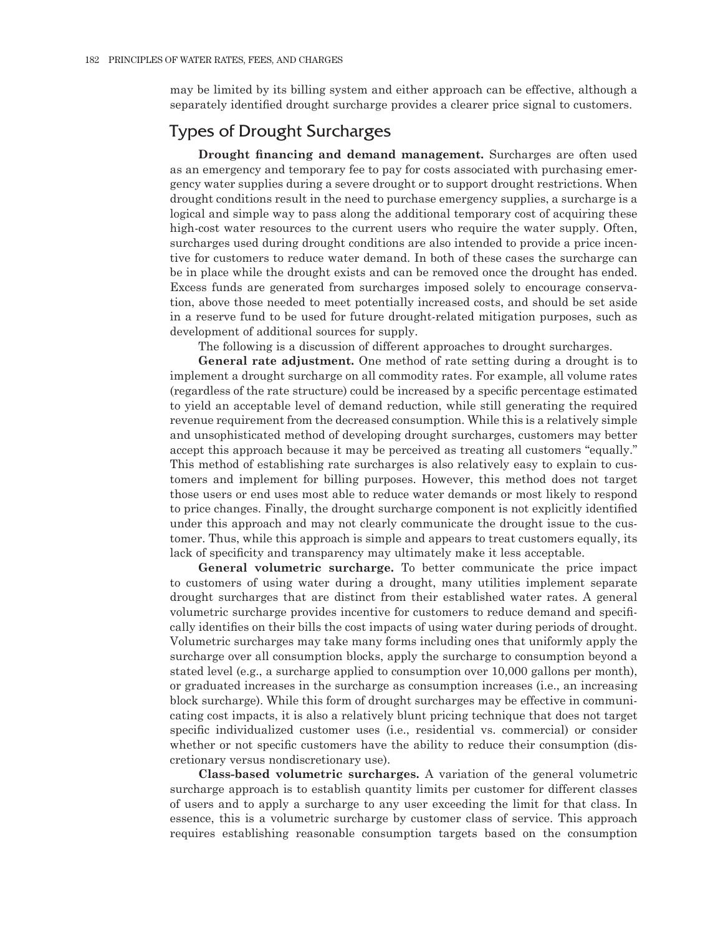may be limited by its billing system and either approach can be effective, although a separately identified drought surcharge provides a clearer price signal to customers.

## Types of Drought Surcharges

**Drought financing and demand management.** Surcharges are often used as an emergency and temporary fee to pay for costs associated with purchasing emergency water supplies during a severe drought or to support drought restrictions. When drought conditions result in the need to purchase emergency supplies, a surcharge is a logical and simple way to pass along the additional temporary cost of acquiring these high-cost water resources to the current users who require the water supply. Often, surcharges used during drought conditions are also intended to provide a price incentive for customers to reduce water demand. In both of these cases the surcharge can be in place while the drought exists and can be removed once the drought has ended. Excess funds are generated from surcharges imposed solely to encourage conservation, above those needed to meet potentially increased costs, and should be set aside in a reserve fund to be used for future drought-related mitigation purposes, such as development of additional sources for supply.

The following is a discussion of different approaches to drought surcharges.

**General rate adjustment.** One method of rate setting during a drought is to implement a drought surcharge on all commodity rates. For example, all volume rates (regardless of the rate structure) could be increased by a specific percentage estimated to yield an acceptable level of demand reduction, while still generating the required revenue requirement from the decreased consumption. While this is a relatively simple and unsophisticated method of developing drought surcharges, customers may better accept this approach because it may be perceived as treating all customers "equally." This method of establishing rate surcharges is also relatively easy to explain to customers and implement for billing purposes. However, this method does not target those users or end uses most able to reduce water demands or most likely to respond to price changes. Finally, the drought surcharge component is not explicitly identified under this approach and may not clearly communicate the drought issue to the customer. Thus, while this approach is simple and appears to treat customers equally, its lack of specificity and transparency may ultimately make it less acceptable.

**General volumetric surcharge.** To better communicate the price impact to customers of using water during a drought, many utilities implement separate drought surcharges that are distinct from their established water rates. A general volumetric surcharge provides incentive for customers to reduce demand and specifically identifies on their bills the cost impacts of using water during periods of drought. Volumetric surcharges may take many forms including ones that uniformly apply the surcharge over all consumption blocks, apply the surcharge to consumption beyond a stated level (e.g., a surcharge applied to consumption over 10,000 gallons per month), or graduated increases in the surcharge as consumption increases (i.e., an increasing block surcharge). While this form of drought surcharges may be effective in communicating cost impacts, it is also a relatively blunt pricing technique that does not target specific individualized customer uses (i.e., residential vs. commercial) or consider whether or not specific customers have the ability to reduce their consumption (discretionary versus nondiscretionary use).

**Class-based volumetric surcharges.** A variation of the general volumetric surcharge approach is to establish quantity limits per customer for different classes of users and to apply a surcharge to any user exceeding the limit for that class. In essence, this is a volumetric surcharge by customer class of service. This approach requires establishing reasonable consumption targets based on the consumption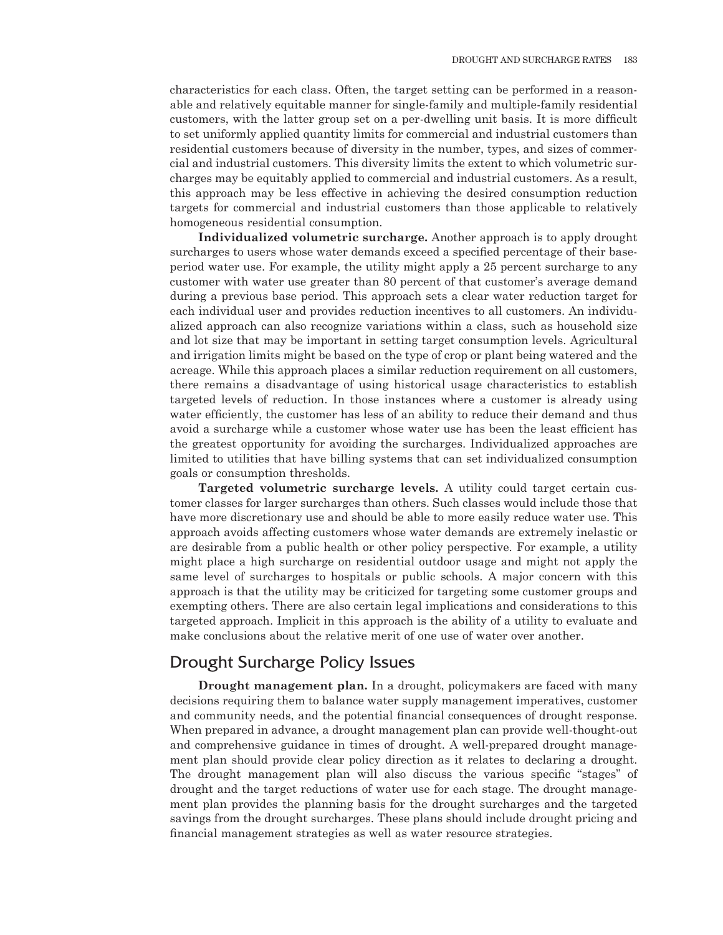characteristics for each class. Often, the target setting can be performed in a reasonable and relatively equitable manner for single-family and multiple-family residential customers, with the latter group set on a per-dwelling unit basis. It is more difficult to set uniformly applied quantity limits for commercial and industrial customers than residential customers because of diversity in the number, types, and sizes of commercial and industrial customers. This diversity limits the extent to which volumetric surcharges may be equitably applied to commercial and industrial customers. As a result, this approach may be less effective in achieving the desired consumption reduction targets for commercial and industrial customers than those applicable to relatively homogeneous residential consumption.

**Individualized volumetric surcharge.** Another approach is to apply drought surcharges to users whose water demands exceed a specified percentage of their baseperiod water use. For example, the utility might apply a 25 percent surcharge to any customer with water use greater than 80 percent of that customer's average demand during a previous base period. This approach sets a clear water reduction target for each individual user and provides reduction incentives to all customers. An individualized approach can also recognize variations within a class, such as household size and lot size that may be important in setting target consumption levels. Agricultural and irrigation limits might be based on the type of crop or plant being watered and the acreage. While this approach places a similar reduction requirement on all customers, there remains a disadvantage of using historical usage characteristics to establish targeted levels of reduction. In those instances where a customer is already using water efficiently, the customer has less of an ability to reduce their demand and thus avoid a surcharge while a customer whose water use has been the least efficient has the greatest opportunity for avoiding the surcharges. Individualized approaches are limited to utilities that have billing systems that can set individualized consumption goals or consumption thresholds.

**Targeted volumetric surcharge levels.** A utility could target certain customer classes for larger surcharges than others. Such classes would include those that have more discretionary use and should be able to more easily reduce water use. This approach avoids affecting customers whose water demands are extremely inelastic or are desirable from a public health or other policy perspective. For example, a utility might place a high surcharge on residential outdoor usage and might not apply the same level of surcharges to hospitals or public schools. A major concern with this approach is that the utility may be criticized for targeting some customer groups and exempting others. There are also certain legal implications and considerations to this targeted approach. Implicit in this approach is the ability of a utility to evaluate and make conclusions about the relative merit of one use of water over another.

### Drought Surcharge Policy Issues

**Drought management plan.** In a drought, policymakers are faced with many decisions requiring them to balance water supply management imperatives, customer and community needs, and the potential financial consequences of drought response. When prepared in advance, a drought management plan can provide well-thought-out and comprehensive guidance in times of drought. A well-prepared drought management plan should provide clear policy direction as it relates to declaring a drought. The drought management plan will also discuss the various specific "stages" of drought and the target reductions of water use for each stage. The drought management plan provides the planning basis for the drought surcharges and the targeted savings from the drought surcharges. These plans should include drought pricing and financial management strategies as well as water resource strategies.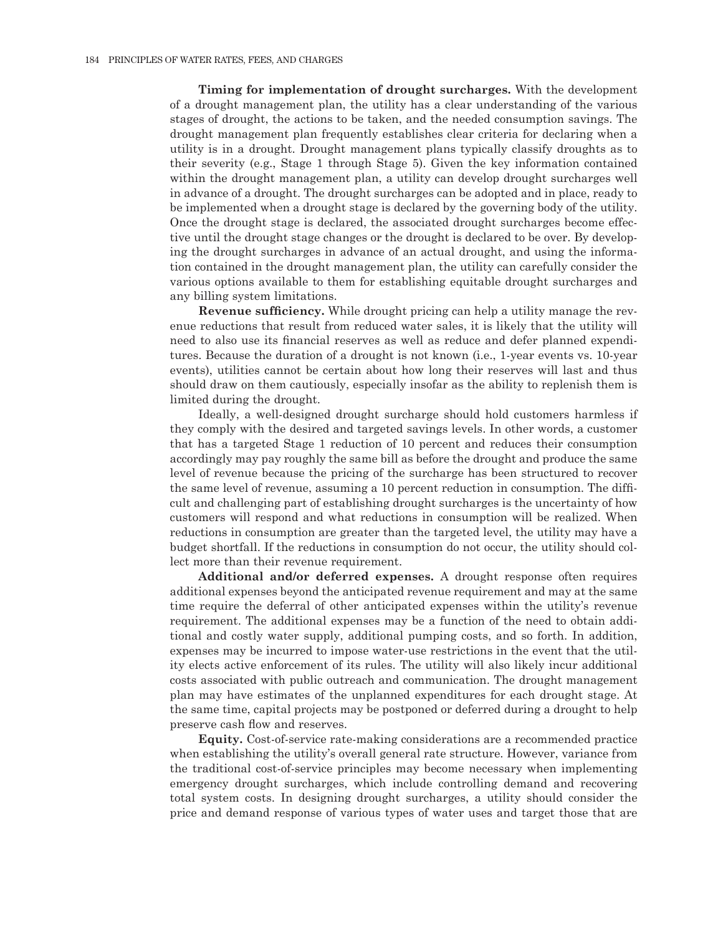**Timing for implementation of drought surcharges.** With the development of a drought management plan, the utility has a clear understanding of the various stages of drought, the actions to be taken, and the needed consumption savings. The drought management plan frequently establishes clear criteria for declaring when a utility is in a drought. Drought management plans typically classify droughts as to their severity (e.g., Stage 1 through Stage 5). Given the key information contained within the drought management plan, a utility can develop drought surcharges well in advance of a drought. The drought surcharges can be adopted and in place, ready to be implemented when a drought stage is declared by the governing body of the utility. Once the drought stage is declared, the associated drought surcharges become effective until the drought stage changes or the drought is declared to be over. By developing the drought surcharges in advance of an actual drought, and using the information contained in the drought management plan, the utility can carefully consider the various options available to them for establishing equitable drought surcharges and any billing system limitations.

**Revenue sufficiency.** While drought pricing can help a utility manage the revenue reductions that result from reduced water sales, it is likely that the utility will need to also use its financial reserves as well as reduce and defer planned expenditures. Because the duration of a drought is not known (i.e., 1-year events vs. 10-year events), utilities cannot be certain about how long their reserves will last and thus should draw on them cautiously, especially insofar as the ability to replenish them is limited during the drought.

Ideally, a well-designed drought surcharge should hold customers harmless if they comply with the desired and targeted savings levels. In other words, a customer that has a targeted Stage 1 reduction of 10 percent and reduces their consumption accordingly may pay roughly the same bill as before the drought and produce the same level of revenue because the pricing of the surcharge has been structured to recover the same level of revenue, assuming a 10 percent reduction in consumption. The difficult and challenging part of establishing drought surcharges is the uncertainty of how customers will respond and what reductions in consumption will be realized. When reductions in consumption are greater than the targeted level, the utility may have a budget shortfall. If the reductions in consumption do not occur, the utility should collect more than their revenue requirement.

**Additional and/or deferred expenses.** A drought response often requires additional expenses beyond the anticipated revenue requirement and may at the same time require the deferral of other anticipated expenses within the utility's revenue requirement. The additional expenses may be a function of the need to obtain additional and costly water supply, additional pumping costs, and so forth. In addition, expenses may be incurred to impose water-use restrictions in the event that the utility elects active enforcement of its rules. The utility will also likely incur additional costs associated with public outreach and communication. The drought management plan may have estimates of the unplanned expenditures for each drought stage. At the same time, capital projects may be postponed or deferred during a drought to help preserve cash flow and reserves.

**Equity.** Cost-of-service rate-making considerations are a recommended practice when establishing the utility's overall general rate structure. However, variance from the traditional cost-of-service principles may become necessary when implementing emergency drought surcharges, which include controlling demand and recovering total system costs. In designing drought surcharges, a utility should consider the price and demand response of various types of water uses and target those that are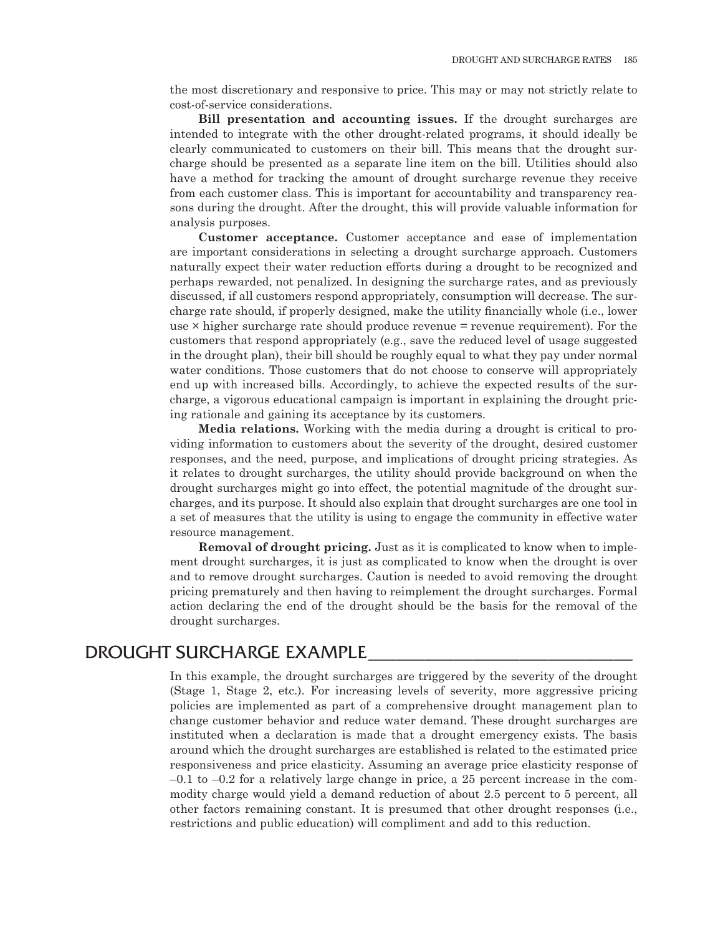the most discretionary and responsive to price. This may or may not strictly relate to cost-of-service considerations.

**Bill presentation and accounting issues.** If the drought surcharges are intended to integrate with the other drought-related programs, it should ideally be clearly communicated to customers on their bill. This means that the drought surcharge should be presented as a separate line item on the bill. Utilities should also have a method for tracking the amount of drought surcharge revenue they receive from each customer class. This is important for accountability and transparency reasons during the drought. After the drought, this will provide valuable information for analysis purposes.

**Customer acceptance.** Customer acceptance and ease of implementation are important considerations in selecting a drought surcharge approach. Customers naturally expect their water reduction efforts during a drought to be recognized and perhaps rewarded, not penalized. In designing the surcharge rates, and as previously discussed, if all customers respond appropriately, consumption will decrease. The surcharge rate should, if properly designed, make the utility financially whole (i.e., lower use  $\times$  higher surcharge rate should produce revenue = revenue requirement). For the customers that respond appropriately (e.g., save the reduced level of usage suggested in the drought plan), their bill should be roughly equal to what they pay under normal water conditions. Those customers that do not choose to conserve will appropriately end up with increased bills. Accordingly, to achieve the expected results of the surcharge, a vigorous educational campaign is important in explaining the drought pricing rationale and gaining its acceptance by its customers.

**Media relations.** Working with the media during a drought is critical to providing information to customers about the severity of the drought, desired customer responses, and the need, purpose, and implications of drought pricing strategies. As it relates to drought surcharges, the utility should provide background on when the drought surcharges might go into effect, the potential magnitude of the drought surcharges, and its purpose. It should also explain that drought surcharges are one tool in a set of measures that the utility is using to engage the community in effective water resource management.

**Removal of drought pricing.** Just as it is complicated to know when to implement drought surcharges, it is just as complicated to know when the drought is over and to remove drought surcharges. Caution is needed to avoid removing the drought pricing prematurely and then having to reimplement the drought surcharges. Formal action declaring the end of the drought should be the basis for the removal of the drought surcharges.

### DROUGHT SURCHARGE EXAMPLE

In this example, the drought surcharges are triggered by the severity of the drought (Stage 1, Stage 2, etc.). For increasing levels of severity, more aggressive pricing policies are implemented as part of a comprehensive drought management plan to change customer behavior and reduce water demand. These drought surcharges are instituted when a declaration is made that a drought emergency exists. The basis around which the drought surcharges are established is related to the estimated price responsiveness and price elasticity. Assuming an average price elasticity response of  $-0.1$  to  $-0.2$  for a relatively large change in price, a 25 percent increase in the commodity charge would yield a demand reduction of about 2.5 percent to 5 percent, all other factors remaining constant. It is presumed that other drought responses (i.e., restrictions and public education) will compliment and add to this reduction.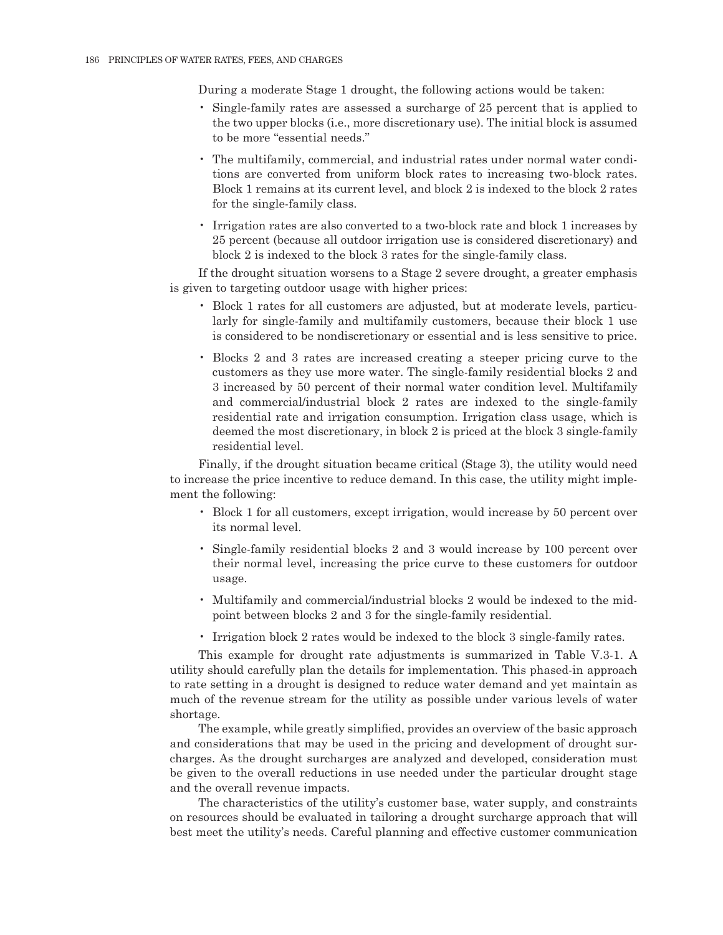During a moderate Stage 1 drought, the following actions would be taken:

- Single-family rates are assessed a surcharge of 25 percent that is applied to the two upper blocks (i.e., more discretionary use). The initial block is assumed to be more "essential needs."
- The multifamily, commercial, and industrial rates under normal water conditions are converted from uniform block rates to increasing two-block rates. Block 1 remains at its current level, and block 2 is indexed to the block 2 rates for the single-family class.
- Irrigation rates are also converted to a two-block rate and block 1 increases by 25 percent (because all outdoor irrigation use is considered discretionary) and block 2 is indexed to the block 3 rates for the single-family class.

If the drought situation worsens to a Stage 2 severe drought, a greater emphasis is given to targeting outdoor usage with higher prices:

- Block 1 rates for all customers are adjusted, but at moderate levels, particularly for single-family and multifamily customers, because their block 1 use is considered to be nondiscretionary or essential and is less sensitive to price.
- Blocks 2 and 3 rates are increased creating a steeper pricing curve to the customers as they use more water. The single-family residential blocks 2 and 3 increased by 50 percent of their normal water condition level. Multifamily and commercial/industrial block 2 rates are indexed to the single-family residential rate and irrigation consumption. Irrigation class usage, which is deemed the most discretionary, in block 2 is priced at the block 3 single-family residential level.

Finally, if the drought situation became critical (Stage 3), the utility would need to increase the price incentive to reduce demand. In this case, the utility might implement the following:

- Block 1 for all customers, except irrigation, would increase by 50 percent over its normal level.
- Single-family residential blocks 2 and 3 would increase by 100 percent over their normal level, increasing the price curve to these customers for outdoor usage.
- Multifamily and commercial/industrial blocks 2 would be indexed to the midpoint between blocks 2 and 3 for the single-family residential.
- Irrigation block 2 rates would be indexed to the block 3 single-family rates.

This example for drought rate adjustments is summarized in Table V.3-1. A utility should carefully plan the details for implementation. This phased-in approach to rate setting in a drought is designed to reduce water demand and yet maintain as much of the revenue stream for the utility as possible under various levels of water shortage.

The example, while greatly simplified, provides an overview of the basic approach and considerations that may be used in the pricing and development of drought surcharges. As the drought surcharges are analyzed and developed, consideration must be given to the overall reductions in use needed under the particular drought stage and the overall revenue impacts.

The characteristics of the utility's customer base, water supply, and constraints on resources should be evaluated in tailoring a drought surcharge approach that will best meet the utility's needs. Careful planning and effective customer communication